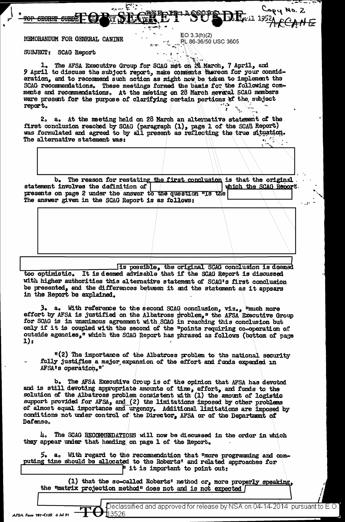### MEMORANDUM FOR GENERAL CANINE

 $EO 3.3(h)(2)$ <u>ု PL</u> 86-36/50 USC 3605 Capy No. 2

#### SUBJECT: SCAG Report

The AFSA Executive Group for SCAG met on 28 March, 7 April, and  $\mathbf{I}_{\bullet}$ 9 April to discuss the subject report, make comments thereon for your consideration, and to recommend such action as might now be taken to implement the SCAG recommendations. These meetings formed the basis for the following comments and recommendations. At the meeting on 28 March several SCAG members were present for the purpose of clarifying cortain portions of the subject report.

**REEDIEDS** 

É.,

e.<br>E

2. a. At the meeting held on 28 March an alternative statement of the first conclusion reached by SCAG (paragraph (1), page 1 of the SCAG Report) was formulated and agreed to by all present as reflecting the true situation. The alternative statement was:

 $$ The reason for restating the first conclusion is that the original statement involves the definition of which the SCAG Report presents on page 2 under the answer to the question wis the The answer given in the SCAG Report is as follows:

Its possible, the original SCAG conclusion is deemed too optimistic. It is deemed advisable that if the SCAG Report is discussed with higher authorities this alternative statement of SCAG's first conclusion be presented, and the differences between it and the statement as it appears in the Report be explained.

3. a. With reference to the second SCAG conclusion,  $v1z_{0.9}$  "much more effort by AFSA is justified on the Albatross problem," the AFSA Executive Group for SCAG is in unanimous agreement with SCAG in reaching this conclusion but only if it is coupled with the second of the "points requiring co-operation of outside agencies," which the SCAG Report has phrased as follows (bottom of page  $1):$ 

"(2) The importance of the Albatross problem to the national security fully justifies a major expansion of the effort and funds expended in AFSA's operation."

b. The AFSA Executive Group is of the opinion that AFSA has devoted and is still devoting appropriate amounts of time, effort, and funds to the solution of the Albatross problem consistent with (1) the amount of logistic support provided for AFSA, and (2) the limitations imposed by other problems of almost equal importance and urgency. Additional limitations are imposed by conditions not under control of the Director, AFSA or of the Department of Defense.

The SCAG RECOMMENDATIONS will now be discussed in the order in which Д. they appear under that heading on page 1 of the Report.

a. With regard to the recommendation that "more programming and com-5. puting time should be allocated to the Roberts' and related approaches for " it is important to point out:

(1) that the so-called Roberts' method or, more properly speaking, the "matrix projection method" does not and is not expected [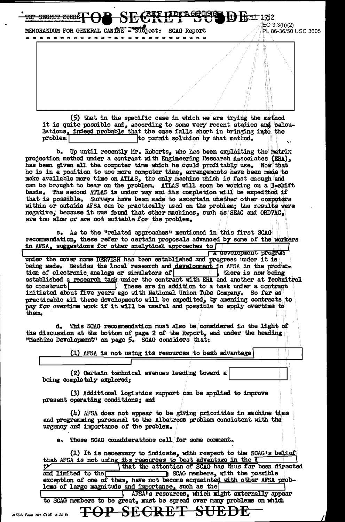MEMORANDUM FOR GENERAL CANINE - Subject: **SCAG Report** . . . . . . . . . . . . . . . . . . . . 

**CECRET CUED!** 

AFSA Form 781-

 $EO 3.3(h)(2)$ PL 86-36/50 USC 3605

<del>1) kan</del> 1952

(5) that in the specific case in which we are trying the method it is quite possible and, according to some very recent studies and calculations, indeed probable that the case falls short in bringing into the to permit solution by that method. problem

b. Up until recently Mr. Roberts, who has been exploiting the matrix projection method under a contract with Engineering Research Associates (ERA), has been given all the computer time which he could profitably use. Now that he is in a position to use more computer time, arrangements have been made to make available more time on ATLAS, the only machine thich is fast enough and can be brought to bear on the problem. ATLAS will soon be working on a 3-shift basis. The second ATLAS is under way and its completion will be expedited if that is possible. Surveys have been made to ascertain unether other computers within or outside AFSA can be practically used on the problem; the results were negative, because it was found that other machines, such as SEAC and ORDVAC, are too slow or are not suitable for the problem.

c. As to the "related approaches" mentioned in this first SCAG recommendation, these refer to certain proposals advanced by some of the workers in AFSA, suggestions for other analytical approaches to [

A development program under the cover name DERVISH has been established and progress under it is being made. Besides the local research and development in AFSA in the production of electronic analogs or simulators of there is now being established a research task under the contract with ERA and another at Technitrol to construct|  $\blacksquare$  These are in addition to a task under a contract initiated about five years ago with National Union Tube Company. So far as practicable all these developments will be expedited, by amending contracts to pay for overtime work if it will be useful and possible to apply overtime to them.

This SCAG recommendation must also be considered in the light of d. the discussion at the bottom of page 2 of the Report, and under the heading "Machine Development" on page 5. SCAG considers that:

(1) AFSA is not using its resources to best advantage

(2) Certain technical avenues leading toward a being completely explored;

(3) Additional logistics support can be applied to improve present operating conditions; and

(4) AFSA does not appear to be giving priorities in machine time and programming personnel to the Albatross problem consistent with the urgency and importance of the problem.

e. These SCAG considerations call for some comment.

| (1) It is necessary to indicate, with respect to the SCAG's belief         |
|----------------------------------------------------------------------------|
| that AFSA is not using its resources to best advantage in the 5            |
| that the attention of SCAG has thus far been directed                      |
| and limited to the state of SCAG members, with the possible                |
| exception of one of them, have not become acquainted with other AFSA prob- |
| lems of large magnitude and importance, such as the                        |
| AFSA's resources, which might externally appear                            |
| to SCAG members to be great, must be spread over many problems on which    |
|                                                                            |
| TOP SECRET SUEDE<br>11-C135 6 Jul 51                                       |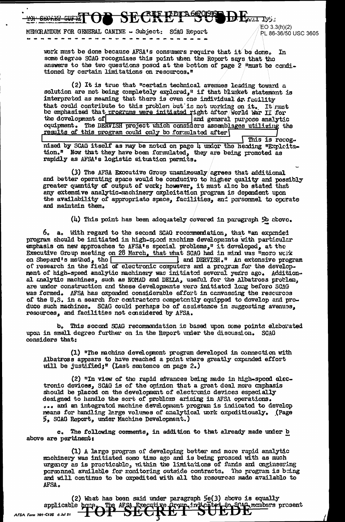MEMORANDUM FOR GENERAL CANINE - Subject: SCAG Report

 $E$ O 3.3(h)(2) PL 86-36/50 USC 3605

work must be done because AFSA's consumers require that it be done. In some degree SCAG recognizes this point when the Report says that the answers to the two questions posed at the bottom of page 2 "must be conditioned by certain limitations on resources."

(2) It is true that "certain technical avenues leading toward a solution are not being completely explored," if that blanket statement is interpreted as meaning that there is oven one individual on facility that could contribute to this problem but is not working on it. It must be emphasized that programs were initiated right after World War II for the development of and general purpose analytic oquipment. The DERVISH project which considers assemblages utilizing the results of this program could only be formulated after This is recog.

nized by SCAG itself as may be noted on page 4 undor the heading "Explcitetion." Now that they have been formulated, they are being promoted as rapidly as AFSA's logistic situation permits.

(3) The AFSA Exocutive Group unanimously agrees that additional and better operating space would be conducive to higher quality and possibly greater quantity of output of work; however, it must also be stated that any extensive analytic-machinery oroloitation program is dependent upon the availability of appropriate space, facilities, and personnel to operate and maintain them.

 $(l)$  This point has been adequately covered in paragraph 5b above.

6. a. With regard to the second SCAG recommendation, that "an expended program should be initiated in high-speed machine developments with particular emphasis on new approaches to AFSA's special problems," it developed, at the Executive Group meeting on 28 March, that what SCAG had in mind was "more werk and DERVISH." An extensive program on Shepard's method, the of research in the field of electronic computers and a program for the development of high-speed analytic machinery was initiated several years ago. Additional analytic machines, such as NOMAD and DELLA, useful for the Albatross problem, are under construction and these developments were initiated long before SCAG was formed. AFSA has expended considerable effort in canvassing the rescurees of the U.S. in a search for contractors competently equipped to develop and produce such machines. SCAG could perhaps be of assistance in suggesting avenues, resources, and facilities not considered by AFSA.

b. This second SCAG recommendation is based upon some points elaborated upon in small degree further on in the Report urder the discussion. SCAG considers that:

(1) "The machine development program developed in connection with Albatross appears to have reached a point where greatly expended effort will be justified;" (Last sentence on page 2.)

(2) "In view of the rapid advances being made in high-speed electronic devices, SCAG is of the opinion that a great deal more cuphasis should be placed on the development of electronic devices especially designed to handlo the sort of problems arising in AFSA operations. ... and an integrated machine development program is indicated to develop means for handling large volumes of analytical work oxpeditiously. (Page 5, SCAG Report, under Machine Development.)

The following comments, in addition to that already made under b  $\mathbf{c}_{\bullet}$ above are perulnent:

(1) A large program of developing better and more rapid analytic machinery was initiated some time ago and is being prossed with as much urgency as is practicable, within the limitations of funds and engineering personnel available for monitoring outside contracts. The program is being and will continue to be expedited with all the resources made available to AFSA.

(2) What has been said under paragraph  $5e(3)$  above is equally applicable hore of the AFSA Executive from indication in SUEDE AFSA Form 781-C13S 6 Jul 51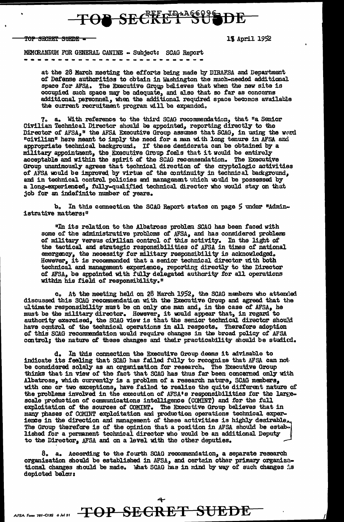## TOB SECRET SUBJ

<del>TOP SECRET SUEDE =</del>

18 April 1952

MEMORANDUM FOR GENERAL CANINE - Subject: SCAG Report

at the 28 March meeting the efforts being made by DIRAFSA and Department of Defense authorities to obtain in Washington the much-needed additional space for AFSA. The Executive Group believes that when the new site is occupied such space may be adequate, and also that so far as concerns additional personnel, when the additional required space becomes available the current recruitment program will be expanded.

7. a. With reference to the third SCAG recommendation, that "a Senior Civilian Technical Director should be appointed, reporting directly to the Director of AFSA," the AFSA Executive Group assumes that SCAG, in using the word "civilian" here meant to imply the need for a man with long tenure in AFSA and appropriate technical background. If these desiderata can be obtained by a military appointment, the Executive Group feels that it would be entirely acceptable and within the spirit of the SCAG recommendation. The Executive Group unanimously agrees that technical direction of the cryptologic activities of AFSA would be improved by virtue of the continuity in technical background. and in technical control policies and management which would be possessed by a long-experienced, fully-qualified technical director who would stay on that job for an indefinite number of years.

b. In this connection the SCAG Report states on page 5 under "Administrative matters:"

"In its relation to the Albatross problem SCAG has been faced with<br>some of the administrative problems of AFSA, and has considered problems<br>of military versus civilian control of this activity. In the light of<br>the tactical emergency, the necessity for military responsibility is acknowledged.<br>However, it is recommended that a senior technical director with both technical and management experience, reporting directly to the Director of AFSA, be appointed with fully delegated authority for all operations within his field of responsibility."

c. At the meeting held on 28 March 1952, the SCAG members who attended discussed this SCAG recommendation with the Executive Group and agreed that the ultimate responsibility must be on only one man and, in the case of AFSA, he must be the military director. However, it would appear that, in regard to authority exercised, the SCAG view is that the senior technical direct of this SCAG recommendation would require changes in the broad policy of AFSA control; the nature of these changes and their practicability should be studicd.

d. In this connection the Executive Group deems it advisable to indicate its feeling that SCAG has failed fully to recognize that AFSA can not be considered solely as an organization for research. The Executive Group thinks that in view of the fact that SCAG has thus far been concerned only with Albatross, which currently is a problem of a research nature, SCAG members, with one or two exceptions, have failed to realize the quite different nature of the problems involved in the execution of AFSA's responsibilities for the large-scale production of communications intelligence (COMINT) and for the full exploitation of the sources of COMINT. The Executive Group believes that in<br>many phases of COMINT exploitation and production operations technical experience in the direction and management of these activities is highly desirable.<br>The Group therefore is of the opinion that a position in AFSA should be established for a permanent technical director who would be an additional Deputy to the Director, AFSA and on a level with the other deputies.

8. a. According to the fourth SCAG recommendation, a separate research organization should be established in AFSA, and certain other primary organizational changes should be made. What SCAG has in mind by way of such changes is depicted belan: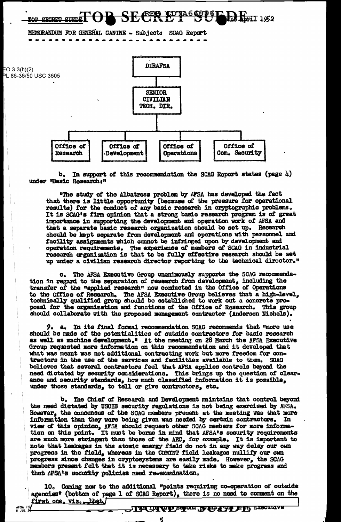

Ъ. In support of this recommendation the SCAG Report states (page  $\mu$ ) under "Basic Research:"

"The study of the Albatross problem by AFSA has developed the fact that there is little opportunity (because of the pressure for operational results) for the conduct of any basic research in cryptographic problems. It is SCAG's firm opinion that a strong basic research program is of great importance in supporting the development and operation work of AFSA and that a separate basic research organization should be set up. Research should be kept separate from development and operations with personnel and facility assignments which cannot be infringed upon by development and operation requirements. The experience of members of SCAG in industrial research organization is that to be fully effective research should be set up under a civilian research director reporting to the technical director."

c. The AFSA Executive Group unanimously supports the SCAG recommendation in regard to the separation of research from development, including the transfer of the "applied research" now conducted in the Office of Operations to the Office of Research. The AFSA Executive Group believes that a high-level, technically qualified group should be established to work out a concrete proposal for the organization and functions of the Office of Research. This group should collaborate with the proposed management contractor (Anderson Nichols).

9. a. In its final formal recommendation SCAG recommends that "more use should be made of the potentialities of outside contractors for basic research as well as machine development." At the meeting on 28 March the AFSA Executive Group requested more information on this recommendation and it developed that what was meant was not additional contracting work but more freedom for contractors in the use of the services and facilities available to them. SCAG believes that several contractors feel that AFSA applies controls beyond the need dictated by security considerations. This brings up the question of clearance and security standards, how much classified information it is possible, under those standards, to tell or give contractors, etc.

b. The Chief of Research and Development maintains that control beyond the need dictated by USCIB security regulations is not being exercised by AFSA. However, the concensus of the SCAG members present at the meeting was that more information than they were being given was needed by certain contractors. In view of this opinion, AFSA should request other SCAG members for more informa-<br>tion on this point. It must be borne in mind that AFSA's security requirements are much more stringent than those of the AEC, for example. It is important to note that leakages in the atomic energy field do not in any way delay our own progress in the field, whereas in the COMINT field leakages nullify our own progress since changes in cryptosystems are easily made. However, the SCAG members present felt that it is necessary to take risks to make progress and that AFSA's security policies need re-examination.

10. Coming now to the additional "points requiring co-operation of outside agencies" (bottom of page 1 of SCAG Report), there is no need to comment on the first one. viz. that

ς

AFSA FOI<br>6 JUL 54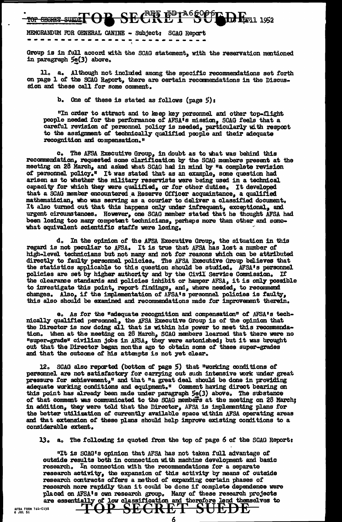### TOP SEGREE SUINT OP SECRETE ED TA66006 ED EN 1952

### MEMORANDUM FOR GENERAL CANINE - Subject: SCAG Report ----

Group is in full accord with the SCAG statement, with the reservation mentioned in paragraph 5e(3) above.

a. Although not included among the specific recommendations set forth on page 1 of the SCAG Report, there are certain recommendations in the Discussion and these call for some comment.

b. One of these is stated as follows (page  $5$ ):

"In order to attract and to keep key personnel and other top-flight people needed for the performance of AFSA's mission, SCAG feels that a careful revision of personnel policy is needed, particularly with resport to the assignment of technically qualified people and their adequate recognition and compensation."

c. The AFSA Executive Group, in doubt as to what was behind this recommendation, requested some clarification by the SCAG members present at the meeting on 28 March, and asked what SCAG had in mind by "a complete revision of personnel policy." It was stated that as an example, some question had arisen as to whether the military reservists were being used in a technical capacity for which they were qualified, or for other duties. It developed that a SCAG member encountered a Reserve Officer acquaintance, a qualified mathematician, who was serving as a courier to deliver a classified document. It also turned out that this happens only under infrequent, exceptional, and urgent circumstances. However, one SCAG member stated that he thought AFSA had been losing too many competent technicians, perhaps more than other and somowhat equivalent scientific staffs were losing.

d. In the opinion of the AFSA Executive Group, the situation in this regard is not peculiar to AFSA. It is true that AFSA has lost a number of high-level technicians but not many and not for reasons which can be attributed<br>directly to faulty personnel policies. The AFSA Executive Group believes that<br>the statistics applicable to this question should be studied. AF policies are set by higher authority and by the Civil Service Commission. If the clearance standards and policies inhibit or hamper AFSA, it is only possible to investigate this point, report findings, and, where needed, to recommend changes. Also, if the implementation of AFSA's personnel policies is faulty, this also should be examined and recommendations made for improvement therein.

e. As for the "adequate recognition and compensation" of AFSA's techmically qualified personnel, the AFSA Executive Group is of the opinion that the Director is now doing all that is within his power to meet this recommendation. When at the meeting on 28 March, SCAG members learned that there were no "super-grade" civilian jobs in AFSA, they were astonished; but it was brought out that the Director began months ago to obtain some of these super-grades and that the outcome of his attempts is not yet clear.

12. SCAG also reported (bottom of page 5) that "working conditions of personnel are not satisfactory for carrying out such intensive work under great<br>pressure for achievement," and that "a great deal should be done in providing<br>adequate working conditions and equipment." Comment having direc this point has already been made under paragraph 5e(3) above. The substance of that comment was communicated to the SCAG members at the meeting on 28 March; in addition, they were told that the Director, AFSA is implementing plans for the better utilization of currently available space within AFSA operating areas and that extension of these plans should help improve existing conditions to a considerable extent.

13. a. The following is quoted from the top of page 6 of the SCAG Report:

"It is SCAG's opinion that AFSA has not taken full advantage of outside results both in connection with machine development and basic research. In connection with the recommendations for a separate research activity, the expansion of this activity by means of outside research contracts offers a method of expanding certain phases of research more rapidly than it could be done if complete dependence were placed on AFSA's own research group. Many of these research projects are essentially of low classification and therefore lend themselves to

6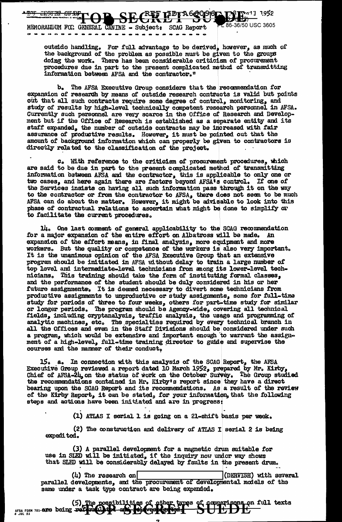

. . . . . . . . . . . . . . . . . . .

outside handling. For full advantage to be derived, however, as much of the background of the problem as possible must be given to the groups doing the work. There has been considerable criticism of procurement procedures due in part to the present complicated method of transmitting information between AFSA and the contractor."

b. The AFSA Executive Group considers that the recommendation for expansion of research by means of outside research contracts is valid but points out that all such contracts require some degree of control, monitoring, and study of results by high-level technically competent research personnel in AFSA. Currently such personnel are very scarce in the Office of Researc ment but if the Office of Research is established as a separate entity and its staff expanded, the number of outside contracts may be increased with fair assurance of productive results. However, it must be pointed out that the amount of background information which can properly be given to contractors is directly related to the classification of the project.

C. With reference to the criticism of procurement procedures, which are said to be due in part to the present complicated method of transmitting information between AFSA and the contractor, this is applicable to only one or two cases, and here again there are factors beyond AFSA's control. If one of the Services insists on having all such information pass through it on the way to the contractor or from the contractor to AFSA, there does not seem to be much AFSA can do about the matter. However, it might be advisable to look into this phase of contractual relations to ascertain what might be done to facilitate the current procedures.

14. One last comment of general applicability to the SCAG recommendation for a major expansion of the entire effort on Albatross will be made. An expansion of the effort means, in final analysis, more equipment and more workers. But the quality or competence of the workers is also very important. It is the unanimous opinion of the AFSA Executive Group that an extensive program should be initiated in AFSA without delay to train a large number of top level and intermediate-level technicians from anong its lower-level technicians. This training should take the form of instituting formal classes, and the performance of the student should be duly considered in his or her future assignments. It is deemed necessary to divert some technicians from productive assignments to unproductive or study assignments, some for full-time study for periods of three to four weeks, others for part-time study for similar or longer periods. The program should be Agency-wide, covering all technical fields, including cryptanalysis, traffic analysis, the usage and programming of analytic machines, etc. The specialties required by every technical branch in all the Offices and even in the Staff Divisions should be considered under such a program, which would be extensive and important enough to warrant the assignment of a high-level, full-time training director to guide and supervise the courses and the manner of their conduct.

a. In connection with this analysis of the SCAG Report, the AFSA 15. Executive Group reviewed a report dated 10 March 1952, prepared by Mr. Kirby, Chief of AFSA-24, on the status of work on the October Survey. The Group studied the recommendations contained in Mr. Kirby's report since they have a direct bearing upon the SCAG Report and its recommendations. As a result of the review of the Kirby Report, it can be stated, for your information, that the following steps and actions have been initiated and are in progress:

(1) ATLAS I scrial 1 is going on a 21-shift basis per week.

(2) The construction and delivery of ATIAS I serial 2 is being expedited.

(3) A parallel development for a magnetic drum suitable for use in SLED will be initiated, if the inquiry now under way shows that SLED will be considerably delayed by faults in the present drum.

 $(4)$  The research on (DERVISH) with several parallel developments, and the procurement of developmental models of the same under a task type contract are being expended.

(5) The possibilities of other types of comparisons on full texts<br>  $s^{rs}$ ,  $r_{s1}^{rs}$ ,  $r_{s1}^{rs}$  are being referred to a set of  $s$  or  $s$  or  $s$  and  $s$  and  $s$  or  $s$  and  $s$  and  $s$  and  $s$  and  $s$  and  $s$  and  $s$  and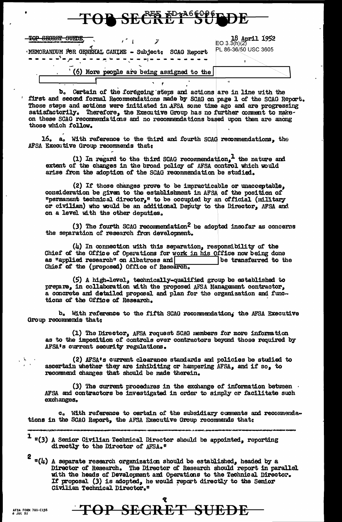| TUI DEUNET JULUE                                                                                                                        |                                                              |
|-----------------------------------------------------------------------------------------------------------------------------------------|--------------------------------------------------------------|
| пор старка антич<br>-SIGRIC DUEUS.<br>'MEMORANDUM FOR GENERAL CANINE - Subject: SCAG Report<br>------ <sup>3</sup> -------------------- | <b>18 April 1952</b><br>EO.3.3(h)(2)<br>PL 86-36/50 USC 3605 |
| $'$ (6) Mome needs are heige aggineed to the                                                                                            |                                                              |

 $\mathbf{D}$  or  $\mathcal{R}$ EE ED-a<sup>86</sup>000 r  $\mathbf{D}$ 

b. Certain of the foregoing steps and actions are in line with the first and second formal Recommendations made by SCAG on page 1 of the SCAG Report. Those steps and actions were initiated in AFSA some time ago and are progressing satisfactorily. Therefore, the Executive Group has no further comment to makeon these SCAG recommendations and no recommendations based upon them are among those which follow.

16. a. With reference to the third and fourth SCAG recommendations. the AFSA Executive Group recommends that:

(1) In regard to the third SCAG recommendation,<sup>1</sup> the nature and extent of the changes in the broad policy of AFSA control which would arise from the adoption of the SCAG recommendation be studied.

(2) If those changes prove to be impracticable or unacceptable, consideration be given to the establishment in AFSA of the position of "permanent technical director," to be occupied by an official (military or civilian) who would be an additional Deputy to the Director, AFSA and on a level with the other deputies.

(3) The fourth SCAG recommendation<sup>2</sup> be adopted insofar as concerns the separation of research from development.

(4) In connection with this separation, responsibility of the Chief of the Office of Operations for work in his Office now being done as "applied research" on Albatross and be transferred to the Chief of the (proposed) Office of Research.

(5) A high-level, technically-qualified group be established to prepare, in collaboration with the proposed AFSA Management contractor, a concrete and detailed proposal and plan for the organization and functions of the Office of Research.

b. With reference to the fifth SCAG recommendation, the AFSA Executive Group recommends that:

(1) The Director, AFSA request SCAG members for more information as to the imposition of controls over contractors beyond those required by AFSA's current security regulations.

(2) AFSA's current clearance standards and policies be studied to ascertain whether they are inhibiting or hampering AFSA, and if so, to recommend changes that should be made therein.

(3) The current procedures in the exchange of information between AFSA and contractors be investigated in order to simply or facilitate such exchanges.

c. With reference to certain of the subsidiary comments and recommendations in the SCAG Report, the AFSA Executive Group recommends that:

 $1$   $\mathfrak{m}(3)$  A Senior Civilian Technical Director should be appointed, reporting directly to the Director of AFSA."

 $2$   $\alpha(\mu)$  A separate research organization should be established, headed by a Director of Research. The Director of Research should report in parallel with the heads of Development and Operations to the Technical Director. If proposal (3) is adopted, he would report directly to the Senior Civilian Technical Director."

TOP SECRET SUEDE

- 5,